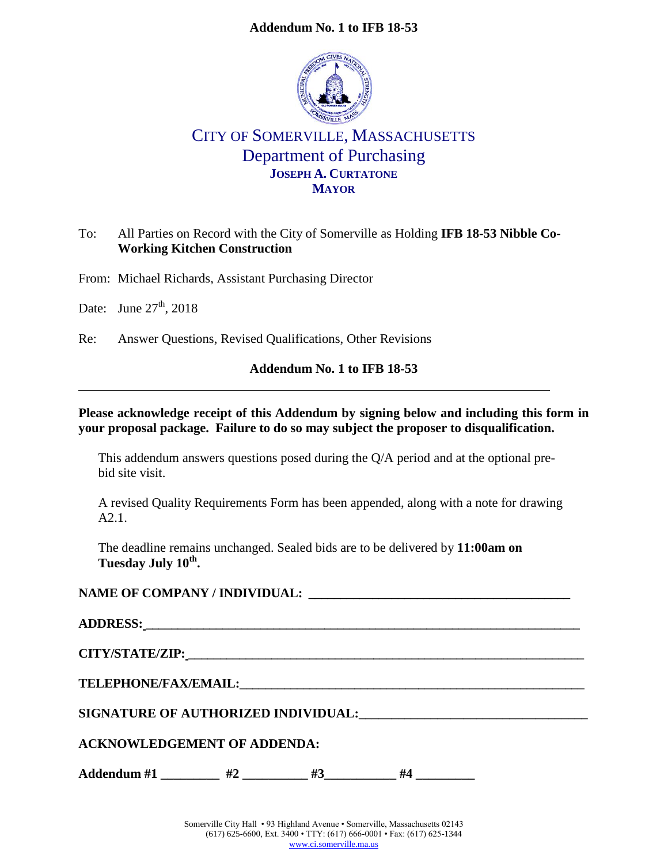#### **Addendum No. 1 to IFB 18-53**



## CITY OF SOMERVILLE, MASSACHUSETTS Department of Purchasing **JOSEPH A. CURTATONE MAYOR**

#### To: All Parties on Record with the City of Somerville as Holding **IFB 18-53 Nibble Co-Working Kitchen Construction**

From: Michael Richards, Assistant Purchasing Director

Date: June  $27<sup>th</sup>$ , 2018

Re: Answer Questions, Revised Qualifications, Other Revisions

#### **Addendum No. 1 to IFB 18-53**

#### **Please acknowledge receipt of this Addendum by signing below and including this form in your proposal package. Failure to do so may subject the proposer to disqualification.**

This addendum answers questions posed during the Q/A period and at the optional prebid site visit.

A revised Quality Requirements Form has been appended, along with a note for drawing A2.1.

The deadline remains unchanged. Sealed bids are to be delivered by **11:00am on Tuesday July 10th .**

### **NAME OF COMPANY / INDIVIDUAL: \_\_\_\_\_\_\_\_\_\_\_\_\_\_\_\_\_\_\_\_\_\_\_\_\_\_\_\_\_\_\_\_\_\_\_\_\_\_\_\_\_**

| CITY/STATE/ZIP: New York of the CITY/STATE/ZIP:                                                                                                                                                                                     |    |    |    |  |  |  |  |  |
|-------------------------------------------------------------------------------------------------------------------------------------------------------------------------------------------------------------------------------------|----|----|----|--|--|--|--|--|
| <b>TELEPHONE/FAX/EMAIL:</b> THE CONSTRUCTION OF THE CONSTRUCTION OF THE CONSTRUCTION OF THE CONSTRUCTION OF THE CONSTRUCTION OF THE CONSTRUCTION OF THE CONSTRUCTION OF THE CONSTRUCTION OF THE CONSTRUCTION OF THE CONSTRUCTION OF |    |    |    |  |  |  |  |  |
| SIGNATURE OF AUTHORIZED INDIVIDUAL:                                                                                                                                                                                                 |    |    |    |  |  |  |  |  |
| <b>ACKNOWLEDGEMENT OF ADDENDA:</b>                                                                                                                                                                                                  |    |    |    |  |  |  |  |  |
| Addendum #1                                                                                                                                                                                                                         | #2 | #3 | #4 |  |  |  |  |  |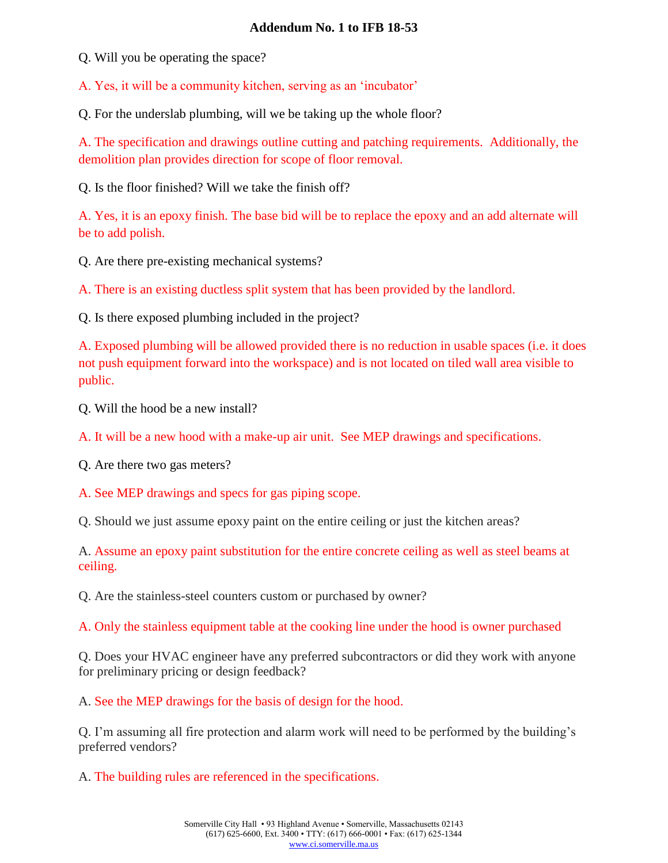#### **Addendum No. 1 to IFB 18-53**

Q. Will you be operating the space?

A. Yes, it will be a community kitchen, serving as an 'incubator'

Q. For the underslab plumbing, will we be taking up the whole floor?

A. The specification and drawings outline cutting and patching requirements. Additionally, the demolition plan provides direction for scope of floor removal.

Q. Is the floor finished? Will we take the finish off?

A. Yes, it is an epoxy finish. The base bid will be to replace the epoxy and an add alternate will be to add polish.

Q. Are there pre-existing mechanical systems?

A. There is an existing ductless split system that has been provided by the landlord.

Q. Is there exposed plumbing included in the project?

A. Exposed plumbing will be allowed provided there is no reduction in usable spaces (i.e. it does not push equipment forward into the workspace) and is not located on tiled wall area visible to public.

Q. Will the hood be a new install?

A. It will be a new hood with a make-up air unit. See MEP drawings and specifications.

Q. Are there two gas meters?

A. See MEP drawings and specs for gas piping scope.

Q. Should we just assume epoxy paint on the entire ceiling or just the kitchen areas?

A. Assume an epoxy paint substitution for the entire concrete ceiling as well as steel beams at ceiling.

Q. Are the stainless-steel counters custom or purchased by owner?

A. Only the stainless equipment table at the cooking line under the hood is owner purchased

Q. Does your HVAC engineer have any preferred subcontractors or did they work with anyone for preliminary pricing or design feedback?

A. See the MEP drawings for the basis of design for the hood.

Q. I'm assuming all fire protection and alarm work will need to be performed by the building's preferred vendors?

A. The building rules are referenced in the specifications.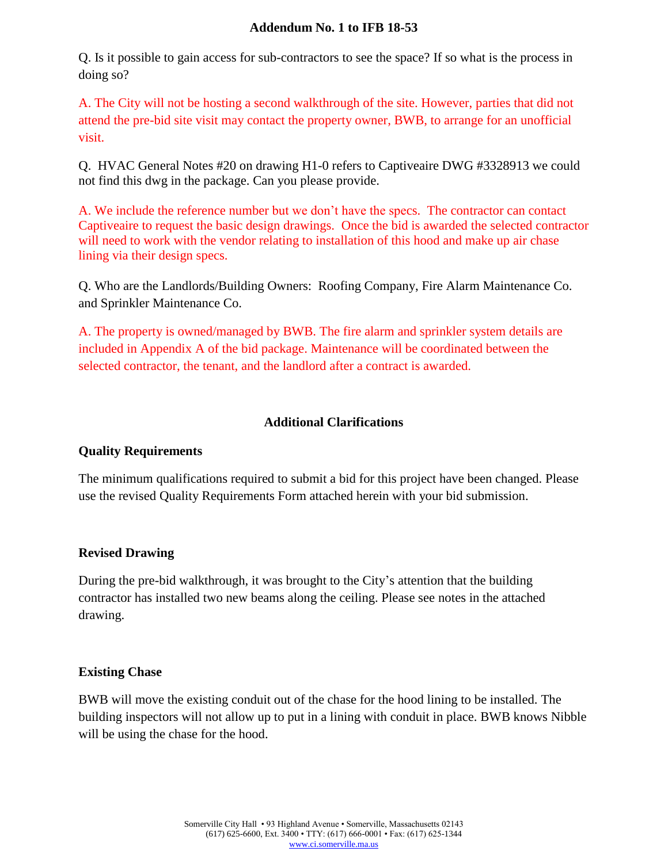#### **Addendum No. 1 to IFB 18-53**

Q. Is it possible to gain access for sub-contractors to see the space? If so what is the process in doing so?

A. The City will not be hosting a second walkthrough of the site. However, parties that did not attend the pre-bid site visit may contact the property owner, BWB, to arrange for an unofficial visit.

Q. HVAC General Notes #20 on drawing H1-0 refers to Captiveaire DWG #3328913 we could not find this dwg in the package. Can you please provide.

A. We include the reference number but we don't have the specs. The contractor can contact Captiveaire to request the basic design drawings. Once the bid is awarded the selected contractor will need to work with the vendor relating to installation of this hood and make up air chase lining via their design specs.

Q. Who are the Landlords/Building Owners: Roofing Company, Fire Alarm Maintenance Co. and Sprinkler Maintenance Co.

A. The property is owned/managed by BWB. The fire alarm and sprinkler system details are included in Appendix A of the bid package. Maintenance will be coordinated between the selected contractor, the tenant, and the landlord after a contract is awarded.

### **Additional Clarifications**

#### **Quality Requirements**

The minimum qualifications required to submit a bid for this project have been changed. Please use the revised Quality Requirements Form attached herein with your bid submission.

#### **Revised Drawing**

During the pre-bid walkthrough, it was brought to the City's attention that the building contractor has installed two new beams along the ceiling. Please see notes in the attached drawing.

#### **Existing Chase**

BWB will move the existing conduit out of the chase for the hood lining to be installed. The building inspectors will not allow up to put in a lining with conduit in place. BWB knows Nibble will be using the chase for the hood.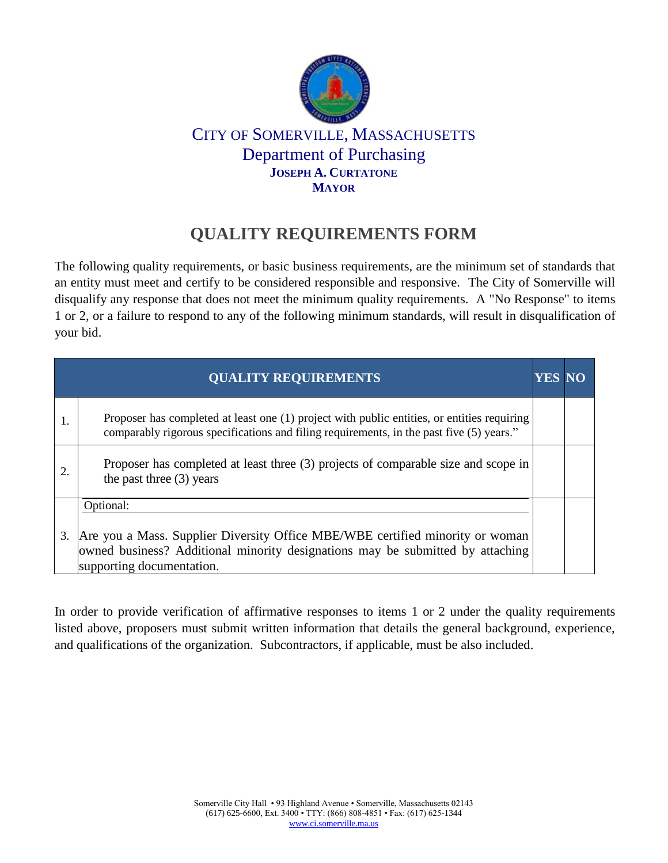

## CITY OF SOMERVILLE, MASSACHUSETTS Department of Purchasing **JOSEPH A. CURTATONE MAYOR**

# **QUALITY REQUIREMENTS FORM**

The following quality requirements, or basic business requirements, are the minimum set of standards that an entity must meet and certify to be considered responsible and responsive. The City of Somerville will disqualify any response that does not meet the minimum quality requirements. A "No Response" to items 1 or 2, or a failure to respond to any of the following minimum standards, will result in disqualification of your bid.

|    | <b>QUALITY REQUIREMENTS</b>                                                                                                                                                                               | <b>YES</b> |  |
|----|-----------------------------------------------------------------------------------------------------------------------------------------------------------------------------------------------------------|------------|--|
| 1. | Proposer has completed at least one (1) project with public entities, or entities requiring<br>comparably rigorous specifications and filing requirements, in the past five (5) years."                   |            |  |
|    | Proposer has completed at least three (3) projects of comparable size and scope in<br>the past three $(3)$ years                                                                                          |            |  |
| 3. | Optional:<br>Are you a Mass. Supplier Diversity Office MBE/WBE certified minority or woman<br>owned business? Additional minority designations may be submitted by attaching<br>supporting documentation. |            |  |

In order to provide verification of affirmative responses to items 1 or 2 under the quality requirements listed above, proposers must submit written information that details the general background, experience, and qualifications of the organization. Subcontractors, if applicable, must be also included.